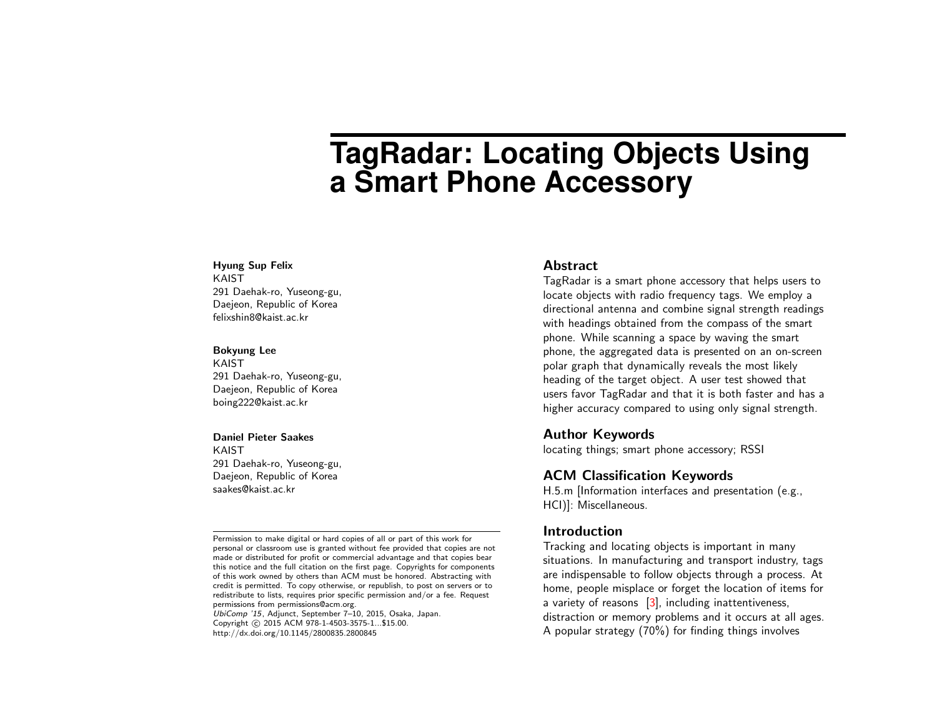# **TagRadar: Locating Objects Using a Smart Phone Accessory**

#### Hyung Sup Felix

KAIST 291 Daehak-ro, Yuseong-gu, Daejeon, Republic of Korea felixshin8@kaist.ac.kr

#### Bokyung Lee

KAIST 291 Daehak-ro, Yuseong-gu, Daejeon, Republic of Korea boing222@kaist.ac.kr

#### Daniel Pieter Saakes

KAIST 291 Daehak-ro, Yuseong-gu, Daejeon, Republic of Korea saakes@kaist.ac.kr

Permission to make digital or hard copies of all or part of this work for personal or classroom use is granted without fee provided that copies are not made or distributed for profit or commercial advantage and that copies bear this notice and the full citation on the first page. Copyrights for components of this work owned by others than ACM must be honored. Abstracting with credit is permitted. To copy otherwise, or republish, to post on servers or to redistribute to lists, requires prior specific permission and/or a fee. Request permissions from permissions@acm.org.

UbiComp '15, Adjunct, September 7–10, 2015, Osaka, Japan. Copyright (C) 2015 ACM 978-1-4503-3575-1...\$15.00. http://dx.doi.org/10.1145/2800835.2800845

#### **Abstract**

TagRadar is a smart phone accessory that helps users to locate objects with radio frequency tags. We employ a directional antenna and combine signal strength readings with headings obtained from the compass of the smart phone. While scanning a space by waving the smart phone, the aggregated data is presented on an on-screen polar graph that dynamically reveals the most likely heading of the target object. A user test showed that users favor TagRadar and that it is both faster and has a higher accuracy compared to using only signal strength.

## Author Keywords

locating things; smart phone accessory; RSSI

# ACM Classification Keywords

H.5.m [Information interfaces and presentation (e.g., HCI)]: Miscellaneous.

# **Introduction**

Tracking and locating objects is important in many situations. In manufacturing and transport industry, tags are indispensable to follow objects through a process. At home, people misplace or forget the location of items for a variety of reasons [\[3\]](#page-3-0), including inattentiveness, distraction or memory problems and it occurs at all ages. A popular strategy (70%) for finding things involves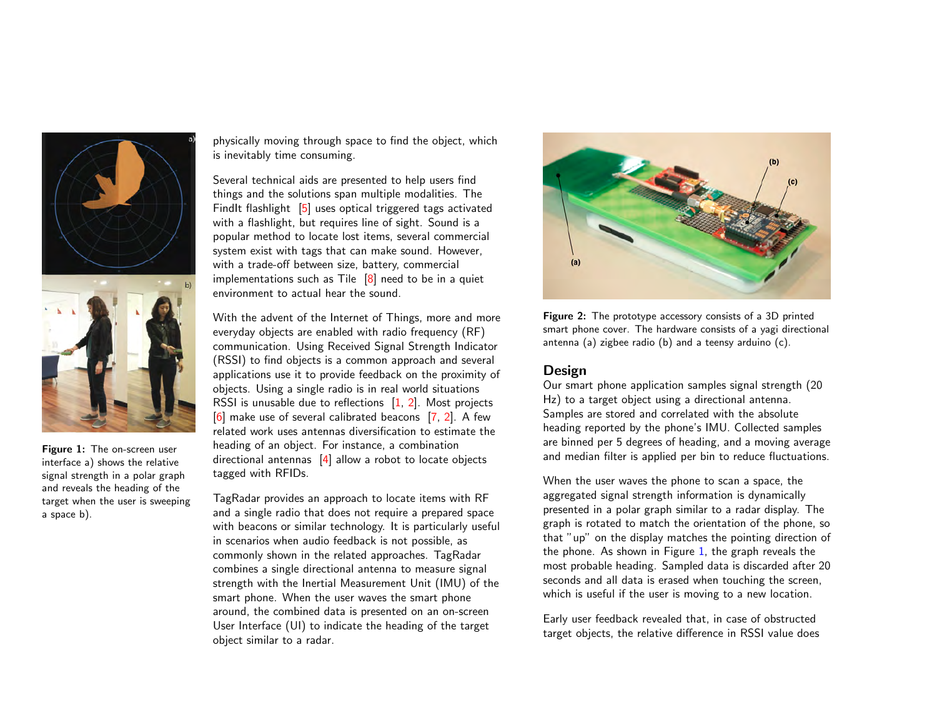

Figure 1: The on-screen user interface a) shows the relative signal strength in a polar graph and reveals the heading of the target when the user is sweeping a space b).

physically moving through space to find the object, which is inevitably time consuming.

Several technical aids are presented to help users find things and the solutions span multiple modalities. The FindIt flashlight [\[5\]](#page-3-1) uses optical triggered tags activated with a flashlight, but requires line of sight. Sound is a popular method to locate lost items, several commercial system exist with tags that can make sound. However, with a trade-off between size, battery, commercial implementations such as Tile  $[8]$  need to be in a quiet environment to actual hear the sound.

With the advent of the Internet of Things, more and more everyday objects are enabled with radio frequency (RF) communication. Using Received Signal Strength Indicator (RSSI) to find objects is a common approach and several applications use it to provide feedback on the proximity of objects. Using a single radio is in real world situations RSSI is unusable due to reflections [\[1,](#page-3-3) [2\]](#page-3-4). Most projects  $[6]$  make use of several calibrated beacons  $[7, 2]$  $[7, 2]$  $[7, 2]$ . A few related work uses antennas diversification to estimate the heading of an object. For instance, a combination directional antennas [\[4\]](#page-3-7) allow a robot to locate objects tagged with RFIDs.

<span id="page-1-0"></span>TagRadar provides an approach to locate items with RF and a single radio that does not require a prepared space with beacons or similar technology. It is particularly useful in scenarios when audio feedback is not possible, as commonly shown in the related approaches. TagRadar combines a single directional antenna to measure signal strength with the Inertial Measurement Unit (IMU) of the smart phone. When the user waves the smart phone around, the combined data is presented on an on-screen User Interface (UI) to indicate the heading of the target object similar to a radar.



<span id="page-1-1"></span>Figure 2: The prototype accessory consists of a 3D printed smart phone cover. The hardware consists of a yagi directional antenna (a) zigbee radio (b) and a teensy arduino (c).

## Design

Our smart phone application samples signal strength (20 Hz) to a target object using a directional antenna. Samples are stored and correlated with the absolute heading reported by the phone's IMU. Collected samples are binned per 5 degrees of heading, and a moving average and median filter is applied per bin to reduce fluctuations.

When the user waves the phone to scan a space, the aggregated signal strength information is dynamically presented in a polar graph similar to a radar display. The graph is rotated to match the orientation of the phone, so that "up" on the display matches the pointing direction of the phone. As shown in Figure [1,](#page-1-0) the graph reveals the most probable heading. Sampled data is discarded after 20 seconds and all data is erased when touching the screen, which is useful if the user is moving to a new location.

Early user feedback revealed that, in case of obstructed target objects, the relative difference in RSSI value does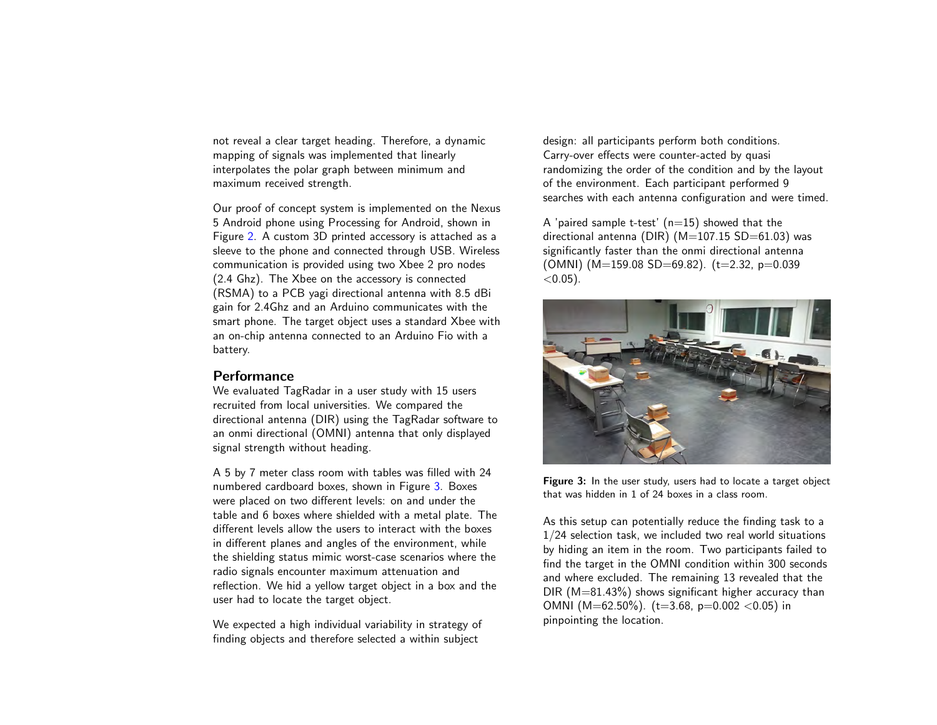not reveal a clear target heading. Therefore, a dynamic mapping of signals was implemented that linearly interpolates the polar graph between minimum and maximum received strength.

Our proof of concept system is implemented on the Nexus 5 Android phone using Processing for Android, shown in Figure [2.](#page-1-1) A custom 3D printed accessory is attached as a sleeve to the phone and connected through USB. Wireless communication is provided using two Xbee 2 pro nodes (2.4 Ghz). The Xbee on the accessory is connected (RSMA) to a PCB yagi directional antenna with 8.5 dBi gain for 2.4Ghz and an Arduino communicates with the smart phone. The target object uses a standard Xbee with an on-chip antenna connected to an Arduino Fio with a battery.

# Performance

We evaluated TagRadar in a user study with 15 users recruited from local universities. We compared the directional antenna (DIR) using the TagRadar software to an onmi directional (OMNI) antenna that only displayed signal strength without heading.

A 5 by 7 meter class room with tables was filled with 24 numbered cardboard boxes, shown in Figure [3.](#page-2-0) Boxes were placed on two different levels: on and under the table and 6 boxes where shielded with a metal plate. The different levels allow the users to interact with the boxes in different planes and angles of the environment, while the shielding status mimic worst-case scenarios where the radio signals encounter maximum attenuation and reflection. We hid a yellow target object in a box and the user had to locate the target object.

We expected a high individual variability in strategy of finding objects and therefore selected a within subject

design: all participants perform both conditions. Carry-over effects were counter-acted by quasi randomizing the order of the condition and by the layout of the environment. Each participant performed 9 searches with each antenna configuration and were timed.

A 'paired sample t-test'  $(n=15)$  showed that the directional antenna (DIR) ( $M=107.15$  SD $=61.03$ ) was significantly faster than the onmi directional antenna (OMNI) ( $M=159.08$  SD=69.82). (t=2.32, p=0.039  $<$  0.05).



<span id="page-2-0"></span>Figure 3: In the user study, users had to locate a target object that was hidden in 1 of 24 boxes in a class room.

As this setup can potentially reduce the finding task to a 1/24 selection task, we included two real world situations by hiding an item in the room. Two participants failed to find the target in the OMNI condition within 300 seconds and where excluded. The remaining 13 revealed that the  $DIR (M=81.43%)$  shows significant higher accuracy than OMNI (M=62.50%). (t=3.68, p=0.002 <0.05) in pinpointing the location.